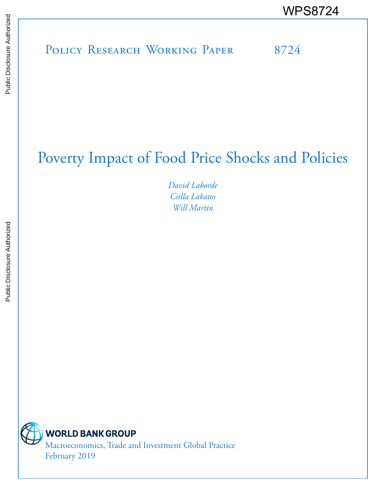# POLICY RESEARCH WORKING PAPER 8724 WPS8724 Public Disclosure Authorized

# Poverty Impact of Food Price Shocks and Policies

*David Laborde Csilla Lakatos Will Martin*



**WORLD BANK GROUP** 

Macroeconomics, Trade and Investment Global Practice February 2019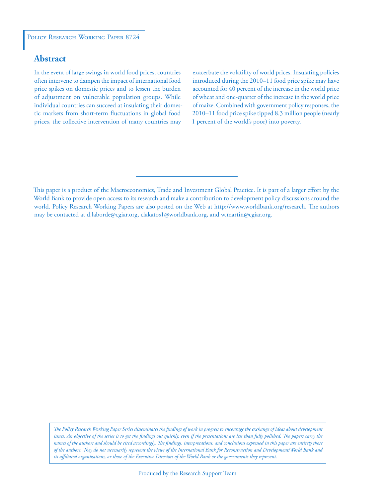#### **Abstract**

In the event of large swings in world food prices, countries often intervene to dampen the impact of international food price spikes on domestic prices and to lessen the burden of adjustment on vulnerable population groups. While individual countries can succeed at insulating their domestic markets from short-term fluctuations in global food prices, the collective intervention of many countries may

exacerbate the volatility of world prices. Insulating policies introduced during the 2010–11 food price spike may have accounted for 40 percent of the increase in the world price of wheat and one-quarter of the increase in the world price of maize. Combined with government policy responses, the 2010–11 food price spike tipped 8.3 million people (nearly 1 percent of the world's poor) into poverty.

*The Policy Research Working Paper Series disseminates the findings of work in progress to encourage the exchange of ideas about development*  issues. An objective of the series is to get the findings out quickly, even if the presentations are less than fully polished. The papers carry the *names of the authors and should be cited accordingly. The findings, interpretations, and conclusions expressed in this paper are entirely those of the authors. They do not necessarily represent the views of the International Bank for Reconstruction and Development/World Bank and its affiliated organizations, or those of the Executive Directors of the World Bank or the governments they represent.*

This paper is a product of the Macroeconomics, Trade and Investment Global Practice. It is part of a larger effort by the World Bank to provide open access to its research and make a contribution to development policy discussions around the world. Policy Research Working Papers are also posted on the Web at http://www.worldbank.org/research. The authors may be contacted at d.laborde@cgiar.org, clakatos1@worldbank.org, and w.martin@cgiar.org.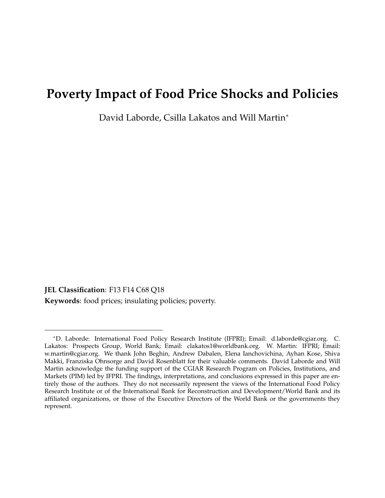# <span id="page-2-0"></span>**Poverty Impact of Food Price Shocks and Policies**

David Laborde, Csilla Lakatos and Will Martin<sup>∗</sup>

**JEL Classification**: F13 F14 C68 Q18 **Keywords**: food prices; insulating policies; poverty.

<sup>∗</sup>D. Laborde: International Food Policy Research Institute (IFPRI); Email: d.laborde@cgiar.org. C. Lakatos: Prospects Group, World Bank; Email: clakatos1@worldbank.org. W. Martin: IFPRI; Email: w.martin@cgiar.org. We thank John Beghin, Andrew Dabalen, Elena Ianchovichina, Ayhan Kose, Shiva Makki, Franziska Ohnsorge and David Rosenblatt for their valuable comments. David Laborde and Will Martin acknowledge the funding support of the CGIAR Research Program on Policies, Institutions, and Markets (PIM) led by IFPRI. The findings, interpretations, and conclusions expressed in this paper are entirely those of the authors. They do not necessarily represent the views of the International Food Policy Research Institute or of the International Bank for Reconstruction and Development/World Bank and its affiliated organizations, or those of the Executive Directors of the World Bank or the governments they represent.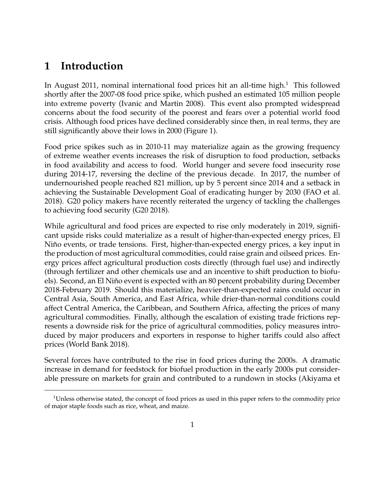# **1 Introduction**

In August 20[1](#page-2-0)1, nominal international food prices hit an all-time high.<sup>1</sup> This followed shortly after the 2007-08 food price spike, which pushed an estimated 105 million people into extreme poverty (Ivanic and Martin 2008). This event also prompted widespread concerns about the food security of the poorest and fears over a potential world food crisis. Although food prices have declined considerably since then, in real terms, they are still significantly above their lows in 2000 (Figure 1).

Food price spikes such as in 2010-11 may materialize again as the growing frequency of extreme weather events increases the risk of disruption to food production, setbacks in food availability and access to food. World hunger and severe food insecurity rose during 2014-17, reversing the decline of the previous decade. In 2017, the number of undernourished people reached 821 million, up by 5 percent since 2014 and a setback in achieving the Sustainable Development Goal of eradicating hunger by 2030 (FAO et al. 2018). G20 policy makers have recently reiterated the urgency of tackling the challenges to achieving food security (G20 2018).

While agricultural and food prices are expected to rise only moderately in 2019, significant upside risks could materialize as a result of higher-than-expected energy prices, El Niño events, or trade tensions. First, higher-than-expected energy prices, a key input in the production of most agricultural commodities, could raise grain and oilseed prices. Energy prices affect agricultural production costs directly (through fuel use) and indirectly (through fertilizer and other chemicals use and an incentive to shift production to biofuels). Second, an El Niño event is expected with an 80 percent probability during December 2018-February 2019. Should this materialize, heavier-than-expected rains could occur in Central Asia, South America, and East Africa, while drier-than-normal conditions could affect Central America, the Caribbean, and Southern Africa, affecting the prices of many agricultural commodities. Finally, although the escalation of existing trade frictions represents a downside risk for the price of agricultural commodities, policy measures introduced by major producers and exporters in response to higher tariffs could also affect prices (World Bank 2018).

Several forces have contributed to the rise in food prices during the 2000s. A dramatic increase in demand for feedstock for biofuel production in the early 2000s put considerable pressure on markets for grain and contributed to a rundown in stocks (Akiyama et

<sup>&</sup>lt;sup>1</sup>Unless otherwise stated, the concept of food prices as used in this paper refers to the commodity price of major staple foods such as rice, wheat, and maize.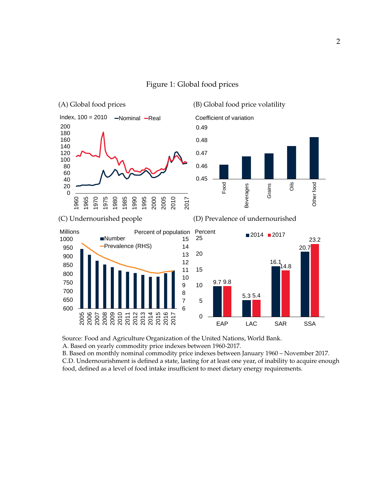

#### Figure 1: Global food prices

Source: Food and Agriculture Organization of the United Nations, World Bank.

A. Based on yearly commodity price indexes between 1960-2017.

B. Based on monthly nominal commodity price indexes between January 1960 – November 2017. C.D. Undernourishment is defined a state, lasting for at least one year, of inability to acquire enough food, defined as a level of food intake insufficient to meet dietary energy requirements.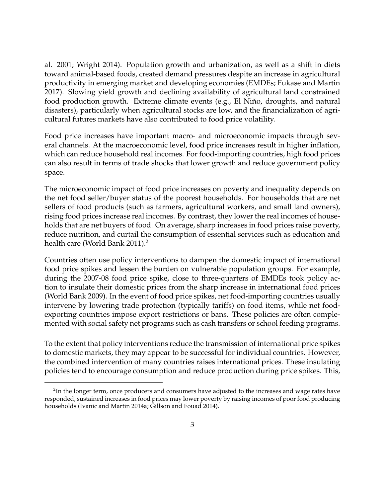al. 2001; Wright 2014). Population growth and urbanization, as well as a shift in diets toward animal-based foods, created demand pressures despite an increase in agricultural productivity in emerging market and developing economies (EMDEs; Fukase and Martin 2017). Slowing yield growth and declining availability of agricultural land constrained food production growth. Extreme climate events (e.g., El Niño, droughts, and natural disasters), particularly when agricultural stocks are low, and the financialization of agricultural futures markets have also contributed to food price volatility.

Food price increases have important macro- and microeconomic impacts through several channels. At the macroeconomic level, food price increases result in higher inflation, which can reduce household real incomes. For food-importing countries, high food prices can also result in terms of trade shocks that lower growth and reduce government policy space.

The microeconomic impact of food price increases on poverty and inequality depends on the net food seller/buyer status of the poorest households. For households that are net sellers of food products (such as farmers, agricultural workers, and small land owners), rising food prices increase real incomes. By contrast, they lower the real incomes of households that are net buyers of food. On average, sharp increases in food prices raise poverty, reduce nutrition, and curtail the consumption of essential services such as education and health care (World Bank [2](#page-2-0)011).<sup>2</sup>

Countries often use policy interventions to dampen the domestic impact of international food price spikes and lessen the burden on vulnerable population groups. For example, during the 2007-08 food price spike, close to three-quarters of EMDEs took policy action to insulate their domestic prices from the sharp increase in international food prices (World Bank 2009). In the event of food price spikes, net food-importing countries usually intervene by lowering trade protection (typically tariffs) on food items, while net foodexporting countries impose export restrictions or bans. These policies are often complemented with social safety net programs such as cash transfers or school feeding programs.

To the extent that policy interventions reduce the transmission of international price spikes to domestic markets, they may appear to be successful for individual countries. However, the combined intervention of many countries raises international prices. These insulating policies tend to encourage consumption and reduce production during price spikes. This,

 $^2$ In the longer term, once producers and consumers have adjusted to the increases and wage rates have responded, sustained increases in food prices may lower poverty by raising incomes of poor food producing households (Ivanic and Martin 2014a; Gillson and Fouad 2014).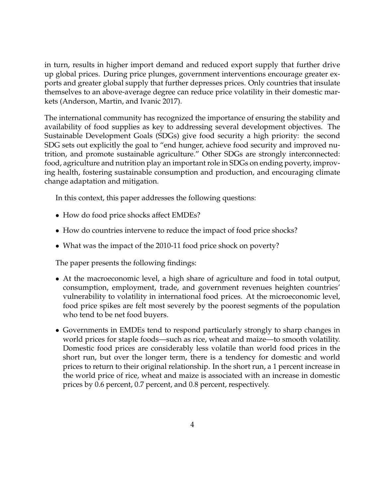in turn, results in higher import demand and reduced export supply that further drive up global prices. During price plunges, government interventions encourage greater exports and greater global supply that further depresses prices. Only countries that insulate themselves to an above-average degree can reduce price volatility in their domestic markets (Anderson, Martin, and Ivanic 2017).

The international community has recognized the importance of ensuring the stability and availability of food supplies as key to addressing several development objectives. The Sustainable Development Goals (SDGs) give food security a high priority: the second SDG sets out explicitly the goal to "end hunger, achieve food security and improved nutrition, and promote sustainable agriculture." Other SDGs are strongly interconnected: food, agriculture and nutrition play an important role in SDGs on ending poverty, improving health, fostering sustainable consumption and production, and encouraging climate change adaptation and mitigation.

In this context, this paper addresses the following questions:

- How do food price shocks affect EMDEs?
- How do countries intervene to reduce the impact of food price shocks?
- What was the impact of the 2010-11 food price shock on poverty?

The paper presents the following findings:

- At the macroeconomic level, a high share of agriculture and food in total output, consumption, employment, trade, and government revenues heighten countries' vulnerability to volatility in international food prices. At the microeconomic level, food price spikes are felt most severely by the poorest segments of the population who tend to be net food buyers.
- Governments in EMDEs tend to respond particularly strongly to sharp changes in world prices for staple foods—such as rice, wheat and maize—to smooth volatility. Domestic food prices are considerably less volatile than world food prices in the short run, but over the longer term, there is a tendency for domestic and world prices to return to their original relationship. In the short run, a 1 percent increase in the world price of rice, wheat and maize is associated with an increase in domestic prices by 0.6 percent, 0.7 percent, and 0.8 percent, respectively.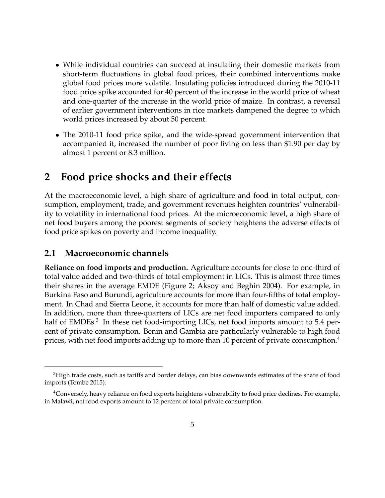- While individual countries can succeed at insulating their domestic markets from short-term fluctuations in global food prices, their combined interventions make global food prices more volatile. Insulating policies introduced during the 2010-11 food price spike accounted for 40 percent of the increase in the world price of wheat and one-quarter of the increase in the world price of maize. In contrast, a reversal of earlier government interventions in rice markets dampened the degree to which world prices increased by about 50 percent.
- The 2010-11 food price spike, and the wide-spread government intervention that accompanied it, increased the number of poor living on less than \$1.90 per day by almost 1 percent or 8.3 million.

# **2 Food price shocks and their effects**

At the macroeconomic level, a high share of agriculture and food in total output, consumption, employment, trade, and government revenues heighten countries' vulnerability to volatility in international food prices. At the microeconomic level, a high share of net food buyers among the poorest segments of society heightens the adverse effects of food price spikes on poverty and income inequality.

#### **2.1 Macroeconomic channels**

**Reliance on food imports and production.** Agriculture accounts for close to one-third of total value added and two-thirds of total employment in LICs. This is almost three times their shares in the average EMDE (Figure 2; Aksoy and Beghin 2004). For example, in Burkina Faso and Burundi, agriculture accounts for more than four-fifths of total employment. In Chad and Sierra Leone, it accounts for more than half of domestic value added. In addition, more than three-quarters of LICs are net food importers compared to only half of EMDEs.<sup>[3](#page-2-0)</sup> In these net food-importing LICs, net food imports amount to 5.4 percent of private consumption. Benin and Gambia are particularly vulnerable to high food prices, with net food imports adding up to more than 10 percent of private consumption.<sup>[4](#page-2-0)</sup>

 ${}^{3}$ High trade costs, such as tariffs and border delays, can bias downwards estimates of the share of food imports (Tombe 2015).

<sup>4</sup>Conversely, heavy reliance on food exports heightens vulnerability to food price declines. For example, in Malawi, net food exports amount to 12 percent of total private consumption.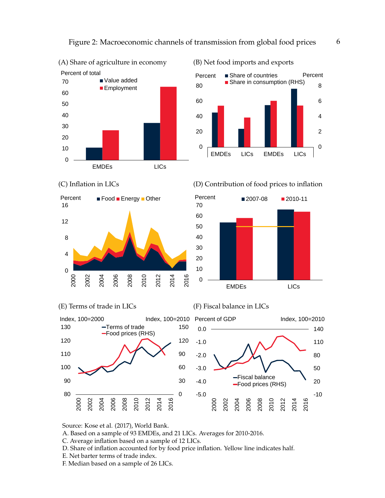

(B) Net food imports and exports



(C) Inflation in LICs









(F) Fiscal balance in LICs



Source: Kose et al. (2017), World Bank.

A. Based on a sample of 93 EMDEs, and 21 LICs. Averages for 2010-2016.

- C. Average inflation based on a sample of 12 LICs.
- D. Share of inflation accounted for by food price inflation. Yellow line indicates half.
- E. Net barter terms of trade index.
- F. Median based on a sample of 26 LICs.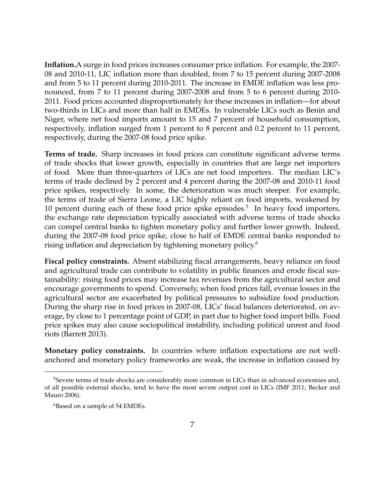**Inflation.**A surge in food prices increases consumer price inflation. For example, the 2007- 08 and 2010-11, LIC inflation more than doubled, from 7 to 15 percent during 2007-2008 and from 5 to 11 percent during 2010-2011. The increase in EMDE inflation was less pronounced, from 7 to 11 percent during 2007-2008 and from 5 to 6 percent during 2010- 2011. Food prices accounted disproportionately for these increases in inflation—for about two-thirds in LICs and more than half in EMDEs. In vulnerable LICs such as Benin and Niger, where net food imports amount to 15 and 7 percent of household consumption, respectively, inflation surged from 1 percent to 8 percent and 0.2 percent to 11 percent, respectively, during the 2007-08 food price spike.

**Terms of trade.** Sharp increases in food prices can constitute significant adverse terms of trade shocks that lower growth, especially in countries that are large net importers of food. More than three-quarters of LICs are net food importers. The median LIC's terms of trade declined by 2 percent and 4 percent during the 2007-08 and 2010-11 food price spikes, respectively. In some, the deterioration was much steeper. For example, the terms of trade of Sierra Leone, a LIC highly reliant on food imports, weakened by 10 percent during each of these food price spike episodes.<sup>[5](#page-2-0)</sup> In heavy food importers, the exchange rate depreciation typically associated with adverse terms of trade shocks can compel central banks to tighten monetary policy and further lower growth. Indeed, during the 2007-08 food price spike, close to half of EMDE central banks responded to rising inflation and depreciation by tightening monetary policy.<sup>[6](#page-2-0)</sup>

**Fiscal policy constraints.** Absent stabilizing fiscal arrangements, heavy reliance on food and agricultural trade can contribute to volatility in public finances and erode fiscal sustainability: rising food prices may increase tax revenues from the agricultural sector and encourage governments to spend. Conversely, when food prices fall, evenue losses in the agricultural sector are exacerbated by political pressures to subsidize food production. During the sharp rise in food prices in 2007-08, LICs' fiscal balances deteriorated, on average, by close to 1 percentage point of GDP, in part due to higher food import bills. Food price spikes may also cause sociopolitical instability, including political unrest and food riots (Barrett 2013).

**Monetary policy constraints.** In countries where inflation expectations are not wellanchored and monetary policy frameworks are weak, the increase in inflation caused by

<sup>&</sup>lt;sup>5</sup>Severe terms of trade shocks are considerably more common in LICs than in advanced economies and, of all possible external shocks, tend to have the most severe output cost in LICs (IMF 2011; Becker and Mauro 2006).

<sup>&</sup>lt;sup>6</sup>Based on a sample of 54 EMDEs.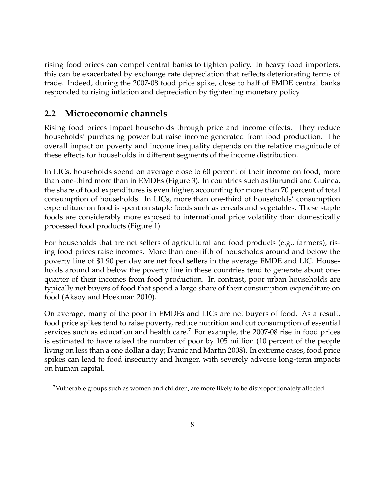rising food prices can compel central banks to tighten policy. In heavy food importers, this can be exacerbated by exchange rate depreciation that reflects deteriorating terms of trade. Indeed, during the 2007-08 food price spike, close to half of EMDE central banks responded to rising inflation and depreciation by tightening monetary policy.

### **2.2 Microeconomic channels**

Rising food prices impact households through price and income effects. They reduce households' purchasing power but raise income generated from food production. The overall impact on poverty and income inequality depends on the relative magnitude of these effects for households in different segments of the income distribution.

In LICs, households spend on average close to 60 percent of their income on food, more than one-third more than in EMDEs (Figure 3). In countries such as Burundi and Guinea, the share of food expenditures is even higher, accounting for more than 70 percent of total consumption of households. In LICs, more than one-third of households' consumption expenditure on food is spent on staple foods such as cereals and vegetables. These staple foods are considerably more exposed to international price volatility than domestically processed food products (Figure 1).

For households that are net sellers of agricultural and food products (e.g., farmers), rising food prices raise incomes. More than one-fifth of households around and below the poverty line of \$1.90 per day are net food sellers in the average EMDE and LIC. Households around and below the poverty line in these countries tend to generate about onequarter of their incomes from food production. In contrast, poor urban households are typically net buyers of food that spend a large share of their consumption expenditure on food (Aksoy and Hoekman 2010).

On average, many of the poor in EMDEs and LICs are net buyers of food. As a result, food price spikes tend to raise poverty, reduce nutrition and cut consumption of essential services such as education and health care.<sup>[7](#page-2-0)</sup> For example, the 2007-08 rise in food prices is estimated to have raised the number of poor by 105 million (10 percent of the people living on less than a one dollar a day; Ivanic and Martin 2008). In extreme cases, food price spikes can lead to food insecurity and hunger, with severely adverse long-term impacts on human capital.

<sup>7</sup>Vulnerable groups such as women and children, are more likely to be disproportionately affected.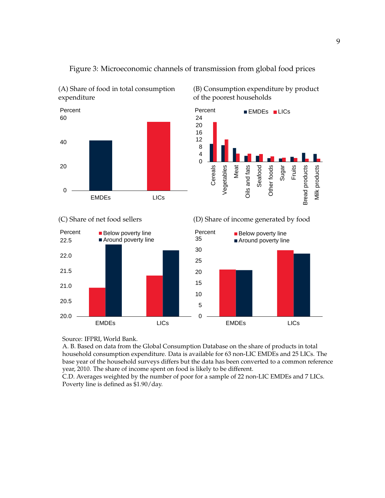

(A) Share of food in total consumption

(C) Share of net food sellers



(B) Consumption expenditure by product of the poorest households



(D) Share of income generated by food



Source: IFPRI, World Bank.

A. B. Based on data from the Global Consumption Database on the share of products in total household consumption expenditure. Data is available for 63 non-LIC EMDEs and 25 LICs. The base year of the household surveys differs but the data has been converted to a common reference year, 2010. The share of income spent on food is likely to be different.

Figure 3: Microeconomic channels of transmission from global food prices

C.D. Averages weighted by the number of poor for a sample of 22 non-LIC EMDEs and 7 LICs. Poverty line is defined as \$1.90/day.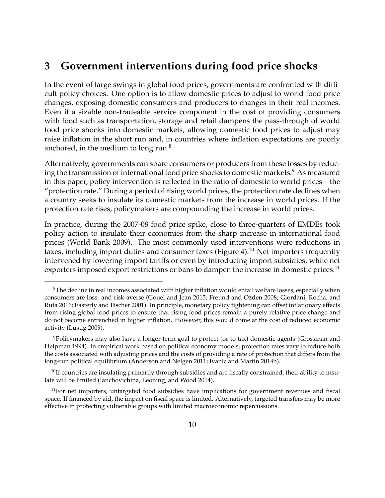# **3 Government interventions during food price shocks**

In the event of large swings in global food prices, governments are confronted with difficult policy choices. One option is to allow domestic prices to adjust to world food price changes, exposing domestic consumers and producers to changes in their real incomes. Even if a sizable non-tradeable service component in the cost of providing consumers with food such as transportation, storage and retail dampens the pass-through of world food price shocks into domestic markets, allowing domestic food prices to adjust may raise inflation in the short run and, in countries where inflation expectations are poorly anchored, in the medium to long run. $8$ 

Alternatively, governments can spare consumers or producers from these losses by reduc-ing the transmission of international food price shocks to domestic markets.<sup>[9](#page-2-0)</sup> As measured in this paper, policy intervention is reflected in the ratio of domestic to world prices—the "protection rate." During a period of rising world prices, the protection rate declines when a country seeks to insulate its domestic markets from the increase in world prices. If the protection rate rises, policymakers are compounding the increase in world prices.

In practice, during the 2007-08 food price spike, close to three-quarters of EMDEs took policy action to insulate their economies from the sharp increase in international food prices (World Bank 2009). The most commonly used interventions were reductions in taxes, including import duties and consumer taxes (Figure 4).<sup>[10](#page-2-0)</sup> Net importers frequently intervened by lowering import tariffs or even by introducing import subsidies, while net exporters imposed export restrictions or bans to dampen the increase in domestic prices.<sup>[11](#page-2-0)</sup>

<sup>&</sup>lt;sup>8</sup>The decline in real incomes associated with higher inflation would entail welfare losses, especially when consumers are loss- and risk-averse (Gouel and Jean 2015; Freund and Ozden 2008; Giordani, Rocha, and Ruta 2016; Easterly and Fischer 2001). In principle, monetary policy tightening can offset inflationary effects from rising global food prices to ensure that rising food prices remain a purely relative price change and do not become entrenched in higher inflation. However, this would come at the cost of reduced economic activity (Lustig 2009).

<sup>9</sup>Policymakers may also have a longer-term goal to protect (or to tax) domestic agents (Grossman and Helpman 1994). In empirical work based on political economy models, protection rates vary to reduce both the costs associated with adjusting prices and the costs of providing a rate of protection that differs from the long-run political equilibrium (Anderson and Nelgen 2011; Ivanic and Martin 2014b).

 $^{10}$ If countries are insulating primarily through subsidies and are fiscally constrained, their ability to insulate will be limited (Ianchovichina, Leoning, and Wood 2014).

 $11$ For net importers, untargeted food subsidies have implications for government revenues and fiscal space. If financed by aid, the impact on fiscal space is limited. Alternatively, targeted transfers may be more effective in protecting vulnerable groups with limited macroeconomic repercussions.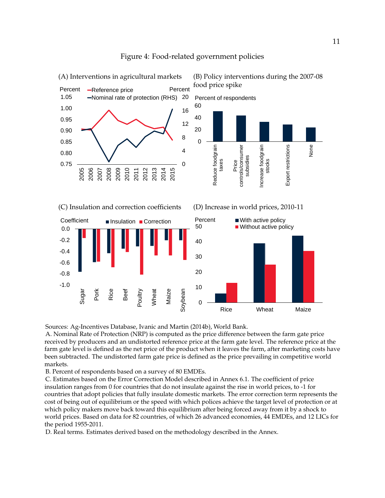

#### Figure 4: Food-related government policies

Sources: Ag-Incentives Database, Ivanic and Martin (2014b), World Bank.

A. Nominal Rate of Protection (NRP) is computed as the price difference between the farm gate price received by producers and an undistorted reference price at the farm gate level. The reference price at the farm gate level is defined as the net price of the product when it leaves the farm, after marketing costs have been subtracted. The undistorted farm gate price is defined as the price prevailing in competitive world markets.

B. Percent of respondents based on a survey of 80 EMDEs.

C. Estimates based on the Error Correction Model described in Annex 6.1. The coefficient of price insulation ranges from 0 for countries that do not insulate against the rise in world prices, to -1 for countries that adopt policies that fully insulate domestic markets. The error correction term represents the cost of being out of equilibrium or the speed with which polices achieve the target level of protection or at which policy makers move back toward this equilibrium after being forced away from it by a shock to world prices. Based on data for 82 countries, of which 26 advanced economies, 44 EMDEs, and 12 LICs for the period 1955-2011.

D. Real terms. Estimates derived based on the methodology described in the Annex.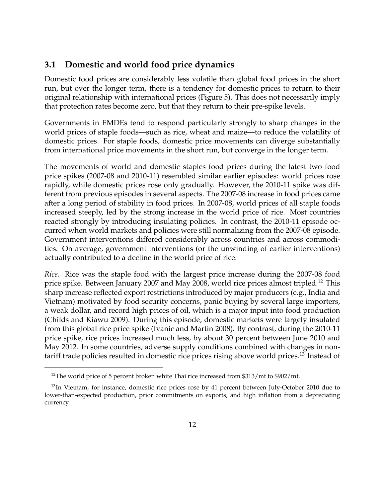#### **3.1 Domestic and world food price dynamics**

Domestic food prices are considerably less volatile than global food prices in the short run, but over the longer term, there is a tendency for domestic prices to return to their original relationship with international prices (Figure 5). This does not necessarily imply that protection rates become zero, but that they return to their pre-spike levels.

Governments in EMDEs tend to respond particularly strongly to sharp changes in the world prices of staple foods—such as rice, wheat and maize—to reduce the volatility of domestic prices. For staple foods, domestic price movements can diverge substantially from international price movements in the short run, but converge in the longer term.

The movements of world and domestic staples food prices during the latest two food price spikes (2007-08 and 2010-11) resembled similar earlier episodes: world prices rose rapidly, while domestic prices rose only gradually. However, the 2010-11 spike was different from previous episodes in several aspects. The 2007-08 increase in food prices came after a long period of stability in food prices. In 2007-08, world prices of all staple foods increased steeply, led by the strong increase in the world price of rice. Most countries reacted strongly by introducing insulating policies. In contrast, the 2010-11 episode occurred when world markets and policies were still normalizing from the 2007-08 episode. Government interventions differed considerably across countries and across commodities. On average, government interventions (or the unwinding of earlier interventions) actually contributed to a decline in the world price of rice.

*Rice.* Rice was the staple food with the largest price increase during the 2007-08 food price spike. Between January 2007 and May 2008, world rice prices almost tripled.<sup>[12](#page-2-0)</sup> This sharp increase reflected export restrictions introduced by major producers (e.g., India and Vietnam) motivated by food security concerns, panic buying by several large importers, a weak dollar, and record high prices of oil, which is a major input into food production (Childs and Kiawu 2009). During this episode, domestic markets were largely insulated from this global rice price spike (Ivanic and Martin 2008). By contrast, during the 2010-11 price spike, rice prices increased much less, by about 30 percent between June 2010 and May 2012. In some countries, adverse supply conditions combined with changes in non-tariff trade policies resulted in domestic rice prices rising above world prices.<sup>[13](#page-2-0)</sup> Instead of

<sup>&</sup>lt;sup>12</sup>The world price of 5 percent broken white Thai rice increased from \$313/mt to \$902/mt.

<sup>&</sup>lt;sup>13</sup>In Vietnam, for instance, domestic rice prices rose by 41 percent between July-October 2010 due to lower-than-expected production, prior commitments on exports, and high inflation from a depreciating currency.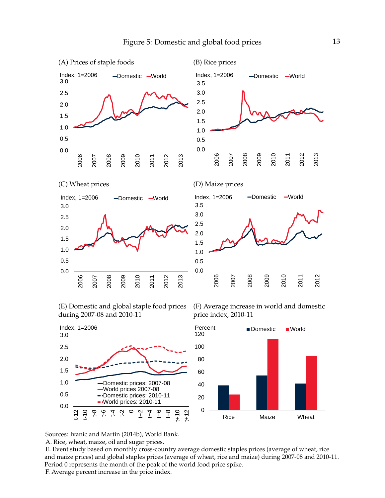

(E) Domestic and global staple food prices during 2007-08 and 2010-11

(F) Average increase in world and domestic price index, 2010-11



Sources: Ivanic and Martin (2014b), World Bank.

A. Rice, wheat, maize, oil and sugar prices.

E. Event study based on monthly cross-country average domestic staples prices (average of wheat, rice and maize prices) and global staples prices (average of wheat, rice and maize) during 2007-08 and 2010-11. Period 0 represents the month of the peak of the world food price spike.

F. Average percent increase in the price index.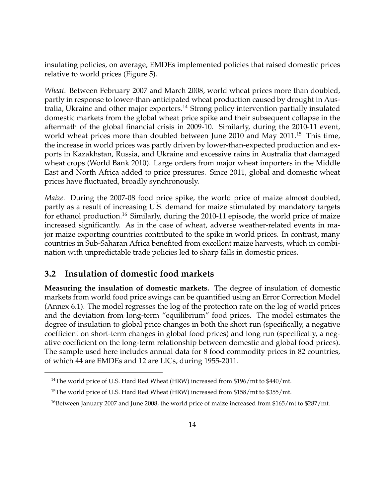insulating policies, on average, EMDEs implemented policies that raised domestic prices relative to world prices (Figure 5).

*Wheat.* Between February 2007 and March 2008, world wheat prices more than doubled, partly in response to lower-than-anticipated wheat production caused by drought in Aus-tralia, Ukraine and other major exporters.<sup>[14](#page-2-0)</sup> Strong policy intervention partially insulated domestic markets from the global wheat price spike and their subsequent collapse in the aftermath of the global financial crisis in 2009-10. Similarly, during the 2010-11 event, world wheat prices more than doubled between June 2010 and May 2011.<sup>[15](#page-2-0)</sup> This time, the increase in world prices was partly driven by lower-than-expected production and exports in Kazakhstan, Russia, and Ukraine and excessive rains in Australia that damaged wheat crops (World Bank 2010). Large orders from major wheat importers in the Middle East and North Africa added to price pressures. Since 2011, global and domestic wheat prices have fluctuated, broadly synchronously.

*Maize.* During the 2007-08 food price spike, the world price of maize almost doubled, partly as a result of increasing U.S. demand for maize stimulated by mandatory targets for ethanol production.<sup>[16](#page-2-0)</sup> Similarly, during the 2010-11 episode, the world price of maize increased significantly. As in the case of wheat, adverse weather-related events in major maize exporting countries contributed to the spike in world prices. In contrast, many countries in Sub-Saharan Africa benefited from excellent maize harvests, which in combination with unpredictable trade policies led to sharp falls in domestic prices.

#### **3.2 Insulation of domestic food markets**

**Measuring the insulation of domestic markets.** The degree of insulation of domestic markets from world food price swings can be quantified using an Error Correction Model (Annex 6.1). The model regresses the log of the protection rate on the log of world prices and the deviation from long-term "equilibrium" food prices. The model estimates the degree of insulation to global price changes in both the short run (specifically, a negative coefficient on short-term changes in global food prices) and long run (specifically, a negative coefficient on the long-term relationship between domestic and global food prices). The sample used here includes annual data for 8 food commodity prices in 82 countries, of which 44 are EMDEs and 12 are LICs, during 1955-2011.

<sup>&</sup>lt;sup>14</sup>The world price of U.S. Hard Red Wheat (HRW) increased from \$196/mt to \$440/mt.

<sup>&</sup>lt;sup>15</sup>The world price of U.S. Hard Red Wheat (HRW) increased from \$158/mt to \$355/mt.

<sup>&</sup>lt;sup>16</sup>Between January 2007 and June 2008, the world price of maize increased from \$165/mt to \$287/mt.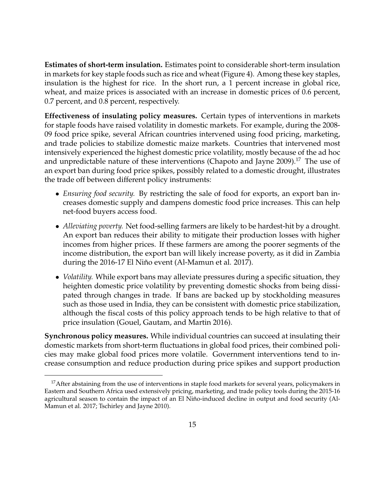**Estimates of short-term insulation.** Estimates point to considerable short-term insulation in markets for key staple foods such as rice and wheat (Figure 4). Among these key staples, insulation is the highest for rice. In the short run, a 1 percent increase in global rice, wheat, and maize prices is associated with an increase in domestic prices of 0.6 percent, 0.7 percent, and 0.8 percent, respectively.

**Effectiveness of insulating policy measures.** Certain types of interventions in markets for staple foods have raised volatility in domestic markets. For example, during the 2008- 09 food price spike, several African countries intervened using food pricing, marketing, and trade policies to stabilize domestic maize markets. Countries that intervened most intensively experienced the highest domestic price volatility, mostly because of the ad hoc and unpredictable nature of these interventions (Chapoto and Jayne 2009).<sup>[17](#page-2-0)</sup> The use of an export ban during food price spikes, possibly related to a domestic drought, illustrates the trade off between different policy instruments:

- *Ensuring food security.* By restricting the sale of food for exports, an export ban increases domestic supply and dampens domestic food price increases. This can help net-food buyers access food.
- *Alleviating poverty.* Net food-selling farmers are likely to be hardest-hit by a drought. An export ban reduces their ability to mitigate their production losses with higher incomes from higher prices. If these farmers are among the poorer segments of the income distribution, the export ban will likely increase poverty, as it did in Zambia during the 2016-17 El Niño event (Al-Mamun et al. 2017).
- *Volatility.* While export bans may alleviate pressures during a specific situation, they heighten domestic price volatility by preventing domestic shocks from being dissipated through changes in trade. If bans are backed up by stockholding measures such as those used in India, they can be consistent with domestic price stabilization, although the fiscal costs of this policy approach tends to be high relative to that of price insulation (Gouel, Gautam, and Martin 2016).

**Synchronous policy measures.** While individual countries can succeed at insulating their domestic markets from short-term fluctuations in global food prices, their combined policies may make global food prices more volatile. Government interventions tend to increase consumption and reduce production during price spikes and support production

<sup>&</sup>lt;sup>17</sup> After abstaining from the use of interventions in staple food markets for several years, policymakers in Eastern and Southern Africa used extensively pricing, marketing, and trade policy tools during the 2015-16 agricultural season to contain the impact of an El Niño-induced decline in output and food security (Al-Mamun et al. 2017; Tschirley and Jayne 2010).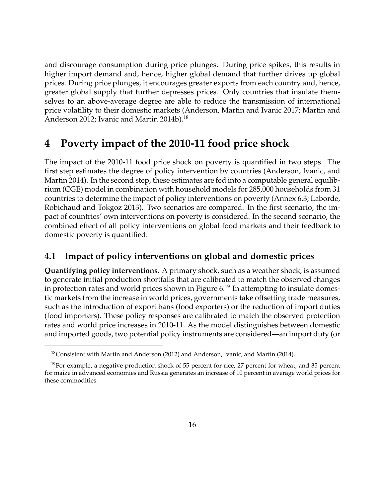and discourage consumption during price plunges. During price spikes, this results in higher import demand and, hence, higher global demand that further drives up global prices. During price plunges, it encourages greater exports from each country and, hence, greater global supply that further depresses prices. Only countries that insulate themselves to an above-average degree are able to reduce the transmission of international price volatility to their domestic markets (Anderson, Martin and Ivanic 2017; Martin and Anderson 2012; Ivanic and Martin 2014b).<sup>[18](#page-2-0)</sup>

# **4 Poverty impact of the 2010-11 food price shock**

The impact of the 2010-11 food price shock on poverty is quantified in two steps. The first step estimates the degree of policy intervention by countries (Anderson, Ivanic, and Martin 2014). In the second step, these estimates are fed into a computable general equilibrium (CGE) model in combination with household models for 285,000 households from 31 countries to determine the impact of policy interventions on poverty (Annex 6.3; Laborde, Robichaud and Tokgoz 2013). Two scenarios are compared. In the first scenario, the impact of countries' own interventions on poverty is considered. In the second scenario, the combined effect of all policy interventions on global food markets and their feedback to domestic poverty is quantified.

#### **4.1 Impact of policy interventions on global and domestic prices**

**Quantifying policy interventions.** A primary shock, such as a weather shock, is assumed to generate initial production shortfalls that are calibrated to match the observed changes in protection rates and world prices shown in Figure  $6<sup>19</sup>$  $6<sup>19</sup>$  $6<sup>19</sup>$  In attempting to insulate domestic markets from the increase in world prices, governments take offsetting trade measures, such as the introduction of export bans (food exporters) or the reduction of import duties (food importers). These policy responses are calibrated to match the observed protection rates and world price increases in 2010-11. As the model distinguishes between domestic and imported goods, two potential policy instruments are considered—an import duty (or

<sup>&</sup>lt;sup>18</sup>Consistent with Martin and Anderson (2012) and Anderson, Ivanic, and Martin (2014).

<sup>&</sup>lt;sup>19</sup>For example, a negative production shock of 55 percent for rice, 27 percent for wheat, and 35 percent for maize in advanced economies and Russia generates an increase of 10 percent in average world prices for these commodities.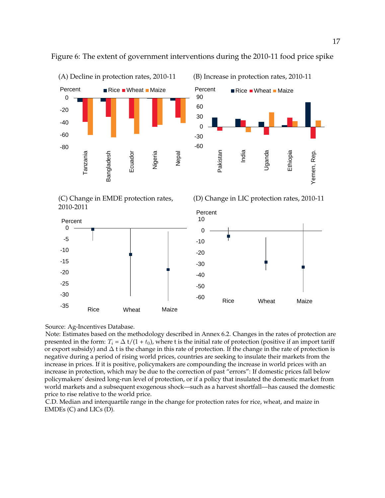

Figure 6: The extent of government interventions during the 2010-11 food price spike







(D) Change in LIC protection rates, 2010-11



Source: Ag-Incentives Database.

Note: Estimates based on the methodology described in Annex 6.2. Changes in the rates of protection are presented in the form:  $T_i = \Delta t/(1 + t_0)$ , where t is the initial rate of protection (positive if an import tariff or export subsidy) and ∆ t is the change in this rate of protection. If the change in the rate of protection is negative during a period of rising world prices, countries are seeking to insulate their markets from the increase in prices. If it is positive, policymakers are compounding the increase in world prices with an increase in protection, which may be due to the correction of past "errors": If domestic prices fall below policymakers' desired long-run level of protection, or if a policy that insulated the domestic market from world markets and a subsequent exogenous shock—such as a harvest shortfall—has caused the domestic price to rise relative to the world price.

C.D. Median and interquartile range in the change for protection rates for rice, wheat, and maize in EMDEs (C) and LICs (D).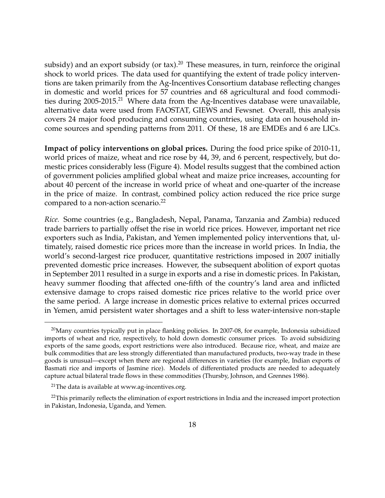subsidy) and an export subsidy (or tax).<sup>[20](#page-2-0)</sup> These measures, in turn, reinforce the original shock to world prices. The data used for quantifying the extent of trade policy interventions are taken primarily from the Ag-Incentives Consortium database reflecting changes in domestic and world prices for 57 countries and 68 agricultural and food commodi-ties during 2005-2015.<sup>[21](#page-2-0)</sup> Where data from the Ag-Incentives database were unavailable, alternative data were used from FAOSTAT, GIEWS and Fewsnet. Overall, this analysis covers 24 major food producing and consuming countries, using data on household income sources and spending patterns from 2011. Of these, 18 are EMDEs and 6 are LICs.

**Impact of policy interventions on global prices.** During the food price spike of 2010-11, world prices of maize, wheat and rice rose by 44, 39, and 6 percent, respectively, but domestic prices considerably less (Figure 4). Model results suggest that the combined action of government policies amplified global wheat and maize price increases, accounting for about 40 percent of the increase in world price of wheat and one-quarter of the increase in the price of maize. In contrast, combined policy action reduced the rice price surge compared to a non-action scenario.<sup>[22](#page-2-0)</sup>

*Rice.* Some countries (e.g., Bangladesh, Nepal, Panama, Tanzania and Zambia) reduced trade barriers to partially offset the rise in world rice prices. However, important net rice exporters such as India, Pakistan, and Yemen implemented policy interventions that, ultimately, raised domestic rice prices more than the increase in world prices. In India, the world's second-largest rice producer, quantitative restrictions imposed in 2007 initially prevented domestic price increases. However, the subsequent abolition of export quotas in September 2011 resulted in a surge in exports and a rise in domestic prices. In Pakistan, heavy summer flooding that affected one-fifth of the country's land area and inflicted extensive damage to crops raised domestic rice prices relative to the world price over the same period. A large increase in domestic prices relative to external prices occurred in Yemen, amid persistent water shortages and a shift to less water-intensive non-staple

 $^{20}$ Many countries typically put in place flanking policies. In 2007-08, for example, Indonesia subsidized imports of wheat and rice, respectively, to hold down domestic consumer prices. To avoid subsidizing exports of the same goods, export restrictions were also introduced. Because rice, wheat, and maize are bulk commodities that are less strongly differentiated than manufactured products, two-way trade in these goods is unusual—except when there are regional differences in varieties (for example, Indian exports of Basmati rice and imports of Jasmine rice). Models of differentiated products are needed to adequately capture actual bilateral trade flows in these commodities (Thursby, Johnson, and Grennes 1986).

<sup>&</sup>lt;sup>21</sup>The data is available at www.ag-incentives.org.

 $^{22}$ This primarily reflects the elimination of export restrictions in India and the increased import protection in Pakistan, Indonesia, Uganda, and Yemen.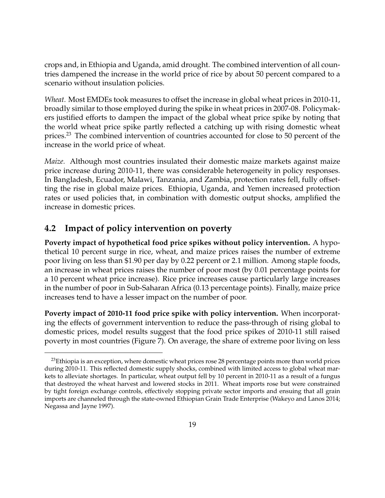crops and, in Ethiopia and Uganda, amid drought. The combined intervention of all countries dampened the increase in the world price of rice by about 50 percent compared to a scenario without insulation policies.

*Wheat.* Most EMDEs took measures to offset the increase in global wheat prices in 2010-11, broadly similar to those employed during the spike in wheat prices in 2007-08. Policymakers justified efforts to dampen the impact of the global wheat price spike by noting that the world wheat price spike partly reflected a catching up with rising domestic wheat prices.<sup>[23](#page-2-0)</sup> The combined intervention of countries accounted for close to 50 percent of the increase in the world price of wheat.

*Maize.* Although most countries insulated their domestic maize markets against maize price increase during 2010-11, there was considerable heterogeneity in policy responses. In Bangladesh, Ecuador, Malawi, Tanzania, and Zambia, protection rates fell, fully offsetting the rise in global maize prices. Ethiopia, Uganda, and Yemen increased protection rates or used policies that, in combination with domestic output shocks, amplified the increase in domestic prices.

#### **4.2 Impact of policy intervention on poverty**

**Poverty impact of hypothetical food price spikes without policy intervention.** A hypothetical 10 percent surge in rice, wheat, and maize prices raises the number of extreme poor living on less than \$1.90 per day by 0.22 percent or 2.1 million. Among staple foods, an increase in wheat prices raises the number of poor most (by 0.01 percentage points for a 10 percent wheat price increase). Rice price increases cause particularly large increases in the number of poor in Sub-Saharan Africa (0.13 percentage points). Finally, maize price increases tend to have a lesser impact on the number of poor.

**Poverty impact of 2010-11 food price spike with policy intervention.** When incorporating the effects of government intervention to reduce the pass-through of rising global to domestic prices, model results suggest that the food price spikes of 2010-11 still raised poverty in most countries (Figure 7). On average, the share of extreme poor living on less

 $^{23}$ Ethiopia is an exception, where domestic wheat prices rose 28 percentage points more than world prices during 2010-11. This reflected domestic supply shocks, combined with limited access to global wheat markets to alleviate shortages. In particular, wheat output fell by 10 percent in 2010-11 as a result of a fungus that destroyed the wheat harvest and lowered stocks in 2011. Wheat imports rose but were constrained by tight foreign exchange controls, effectively stopping private sector imports and ensuing that all grain imports are channeled through the state-owned Ethiopian Grain Trade Enterprise (Wakeyo and Lanos 2014; Negassa and Jayne 1997).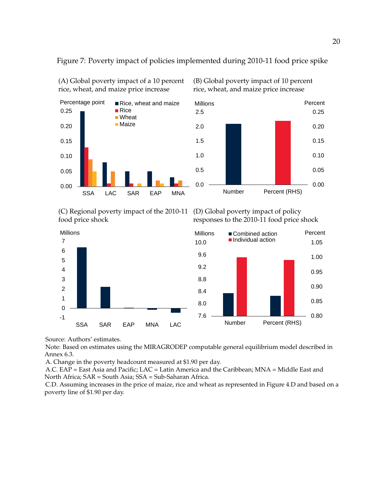

(A) Global poverty impact of a 10 percent rice, wheat, and maize price increase

Figure 7: Poverty impact of policies implemented during 2010-11 food price spike

(B) Global poverty impact of 10 percent rice, wheat, and maize price increase



(C) Regional poverty impact of the 2010-11 food price shock

(D) Global poverty impact of policy responses to the 2010-11 food price shock





Millions

Note: Based on estimates using the MIRAGRODEP computable general equilibrium model described in Annex 6.3.

A. Change in the poverty headcount measured at \$1.90 per day.

SSA SAR EAP MNA LAC

A.C. EAP = East Asia and Pacific; LAC = Latin America and the Caribbean; MNA = Middle East and North Africa; SAR = South Asia; SSA = Sub-Saharan Africa.

C.D. Assuming increases in the price of maize, rice and wheat as represented in Figure 4.D and based on a poverty line of \$1.90 per day.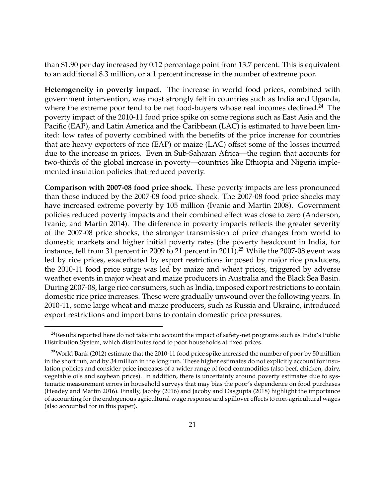than \$1.90 per day increased by 0.12 percentage point from 13.7 percent. This is equivalent to an additional 8.3 million, or a 1 percent increase in the number of extreme poor.

**Heterogeneity in poverty impact.** The increase in world food prices, combined with government intervention, was most strongly felt in countries such as India and Uganda, where the extreme poor tend to be net food-buyers whose real incomes declined.<sup>[24](#page-2-0)</sup> The poverty impact of the 2010-11 food price spike on some regions such as East Asia and the Pacific (EAP), and Latin America and the Caribbean (LAC) is estimated to have been limited: low rates of poverty combined with the benefits of the price increase for countries that are heavy exporters of rice (EAP) or maize (LAC) offset some of the losses incurred due to the increase in prices. Even in Sub-Saharan Africa—the region that accounts for two-thirds of the global increase in poverty—countries like Ethiopia and Nigeria implemented insulation policies that reduced poverty.

**Comparison with 2007-08 food price shock.** These poverty impacts are less pronounced than those induced by the 2007-08 food price shock. The 2007-08 food price shocks may have increased extreme poverty by 105 million (Ivanic and Martin 2008). Government policies reduced poverty impacts and their combined effect was close to zero (Anderson, Ivanic, and Martin 2014). The difference in poverty impacts reflects the greater severity of the 2007-08 price shocks, the stronger transmission of price changes from world to domestic markets and higher initial poverty rates (the poverty headcount in India, for instance, fell from 31 percent in 2009 to 21 percent in 2011).<sup>[25](#page-2-0)</sup> While the 2007-08 event was led by rice prices, exacerbated by export restrictions imposed by major rice producers, the 2010-11 food price surge was led by maize and wheat prices, triggered by adverse weather events in major wheat and maize producers in Australia and the Black Sea Basin. During 2007-08, large rice consumers, such as India, imposed export restrictions to contain domestic rice price increases. These were gradually unwound over the following years. In 2010-11, some large wheat and maize producers, such as Russia and Ukraine, introduced export restrictions and import bans to contain domestic price pressures.

 $24$ Results reported here do not take into account the impact of safety-net programs such as India's Public Distribution System, which distributes food to poor households at fixed prices.

<sup>&</sup>lt;sup>25</sup>World Bank (2012) estimate that the 2010-11 food price spike increased the number of poor by 50 million in the short run, and by 34 million in the long run. These higher estimates do not explicitly account for insulation policies and consider price increases of a wider range of food commodities (also beef, chicken, dairy, vegetable oils and soybean prices). In addition, there is uncertainty around poverty estimates due to systematic measurement errors in household surveys that may bias the poor's dependence on food purchases (Headey and Martin 2016). Finally, Jacoby (2016) and Jacoby and Dasgupta (2018) highlight the importance of accounting for the endogenous agricultural wage response and spillover effects to non-agricultural wages (also accounted for in this paper).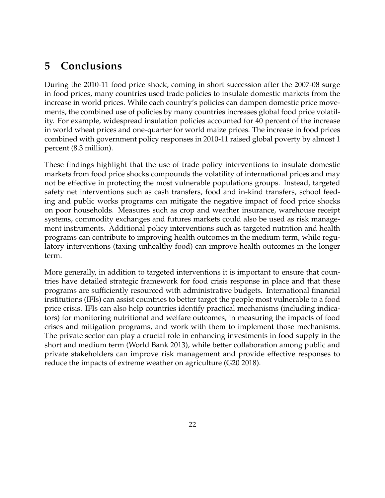# **5 Conclusions**

During the 2010-11 food price shock, coming in short succession after the 2007-08 surge in food prices, many countries used trade policies to insulate domestic markets from the increase in world prices. While each country's policies can dampen domestic price movements, the combined use of policies by many countries increases global food price volatility. For example, widespread insulation policies accounted for 40 percent of the increase in world wheat prices and one-quarter for world maize prices. The increase in food prices combined with government policy responses in 2010-11 raised global poverty by almost 1 percent (8.3 million).

These findings highlight that the use of trade policy interventions to insulate domestic markets from food price shocks compounds the volatility of international prices and may not be effective in protecting the most vulnerable populations groups. Instead, targeted safety net interventions such as cash transfers, food and in-kind transfers, school feeding and public works programs can mitigate the negative impact of food price shocks on poor households. Measures such as crop and weather insurance, warehouse receipt systems, commodity exchanges and futures markets could also be used as risk management instruments. Additional policy interventions such as targeted nutrition and health programs can contribute to improving health outcomes in the medium term, while regulatory interventions (taxing unhealthy food) can improve health outcomes in the longer term.

More generally, in addition to targeted interventions it is important to ensure that countries have detailed strategic framework for food crisis response in place and that these programs are sufficiently resourced with administrative budgets. International financial institutions (IFIs) can assist countries to better target the people most vulnerable to a food price crisis. IFIs can also help countries identify practical mechanisms (including indicators) for monitoring nutritional and welfare outcomes, in measuring the impacts of food crises and mitigation programs, and work with them to implement those mechanisms. The private sector can play a crucial role in enhancing investments in food supply in the short and medium term (World Bank 2013), while better collaboration among public and private stakeholders can improve risk management and provide effective responses to reduce the impacts of extreme weather on agriculture (G20 2018).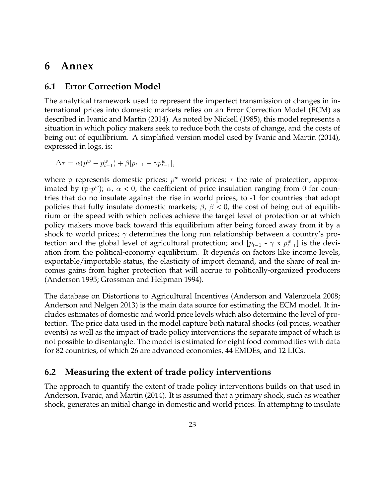#### **6 Annex**

#### **6.1 Error Correction Model**

The analytical framework used to represent the imperfect transmission of changes in international prices into domestic markets relies on an Error Correction Model (ECM) as described in Ivanic and Martin (2014). As noted by Nickell (1985), this model represents a situation in which policy makers seek to reduce both the costs of change, and the costs of being out of equilibrium. A simplified version model used by Ivanic and Martin (2014), expressed in logs, is:

$$
\Delta \tau = \alpha (p^{w} - p_{t-1}^{w}) + \beta [p_{t-1} - \gamma p_{t-1}^{w}],
$$

where p represents domestic prices;  $p^w$  world prices;  $\tau$  the rate of protection, approximated by (p- $p^w$ );  $\alpha$ ,  $\alpha$  < 0, the coefficient of price insulation ranging from 0 for countries that do no insulate against the rise in world prices, to -1 for countries that adopt policies that fully insulate domestic markets;  $\beta$ ,  $\beta$  < 0, the cost of being out of equilibrium or the speed with which polices achieve the target level of protection or at which policy makers move back toward this equilibrium after being forced away from it by a shock to world prices;  $\gamma$  determines the long run relationship between a country's protection and the global level of agricultural protection; and  $[p_{t-1} - \gamma \times p_{t-1}^w]$  is the deviation from the political-economy equilibrium. It depends on factors like income levels, exportable/importable status, the elasticity of import demand, and the share of real incomes gains from higher protection that will accrue to politically-organized producers (Anderson 1995; Grossman and Helpman 1994).

The database on Distortions to Agricultural Incentives (Anderson and Valenzuela 2008; Anderson and Nelgen 2013) is the main data source for estimating the ECM model. It includes estimates of domestic and world price levels which also determine the level of protection. The price data used in the model capture both natural shocks (oil prices, weather events) as well as the impact of trade policy interventions the separate impact of which is not possible to disentangle. The model is estimated for eight food commodities with data for 82 countries, of which 26 are advanced economies, 44 EMDEs, and 12 LICs.

#### **6.2 Measuring the extent of trade policy interventions**

The approach to quantify the extent of trade policy interventions builds on that used in Anderson, Ivanic, and Martin (2014). It is assumed that a primary shock, such as weather shock, generates an initial change in domestic and world prices. In attempting to insulate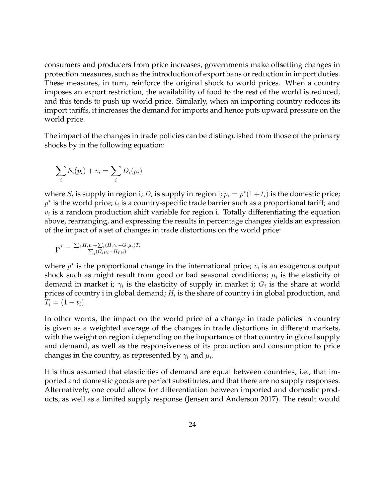consumers and producers from price increases, governments make offsetting changes in protection measures, such as the introduction of export bans or reduction in import duties. These measures, in turn, reinforce the original shock to world prices. When a country imposes an export restriction, the availability of food to the rest of the world is reduced, and this tends to push up world price. Similarly, when an importing country reduces its import tariffs, it increases the demand for imports and hence puts upward pressure on the world price.

The impact of the changes in trade policies can be distinguished from those of the primary shocks by in the following equation:

$$
\sum_i S_i(p_i) + v_i = \sum_i D_i(p_i)
$$

where  $S_i$  is supply in region i;  $D_i$  is supply in region i;  $p_i = p^*(1 + t_i)$  is the domestic price;  $p^*$  is the world price;  $t_i$  is a country-specific trade barrier such as a proportional tariff; and  $v_i$  is a random production shift variable for region i. Totally differentiating the equation above, rearranging, and expressing the results in percentage changes yields an expression of the impact of a set of changes in trade distortions on the world price:

$$
p^* = \frac{\sum_i H_i v_i + \sum_i (H_i \gamma_i - G_i \mu_i) T_i}{\sum_i (G_i \mu_i - H_i \gamma_i)}
$$

where  $p^*$  is the proportional change in the international price;  $v_i$  is an exogenous output shock such as might result from good or bad seasonal conditions;  $\mu_i$  is the elasticity of demand in market i;  $\gamma_i$  is the elasticity of supply in market i;  $G_i$  is the share at world prices of country i in global demand;  $H_i$  is the share of country i in global production, and  $T_i = (1 + t_i).$ 

In other words, the impact on the world price of a change in trade policies in country is given as a weighted average of the changes in trade distortions in different markets, with the weight on region i depending on the importance of that country in global supply and demand, as well as the responsiveness of its production and consumption to price changes in the country, as represented by  $\gamma_i$  and  $\mu_i$ .

It is thus assumed that elasticities of demand are equal between countries, i.e., that imported and domestic goods are perfect substitutes, and that there are no supply responses. Alternatively, one could allow for differentiation between imported and domestic products, as well as a limited supply response (Jensen and Anderson 2017). The result would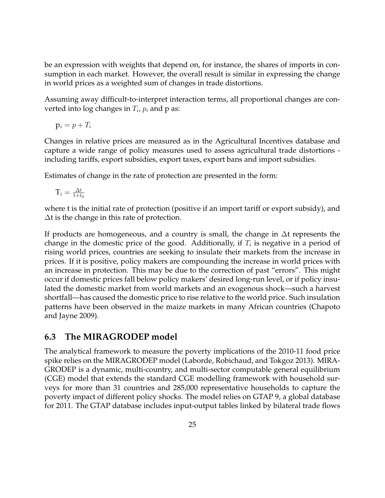be an expression with weights that depend on, for instance, the shares of imports in consumption in each market. However, the overall result is similar in expressing the change in world prices as a weighted sum of changes in trade distortions.

Assuming away difficult-to-interpret interaction terms, all proportional changes are converted into log changes in  $T_i$ ,  $p_i$  and p as:

 $p_i = p + T_i$ 

Changes in relative prices are measured as in the Agricultural Incentives database and capture a wide range of policy measures used to assess agricultural trade distortions including tariffs, export subsidies, export taxes, export bans and import subsidies.

Estimates of change in the rate of protection are presented in the form:

$$
\mathbf{T}_i = \frac{\Delta t}{1+t_0}
$$

where t is the initial rate of protection (positive if an import tariff or export subsidy), and ∆t is the change in this rate of protection.

If products are homogeneous, and a country is small, the change in ∆t represents the change in the domestic price of the good. Additionally, if  $T_i$  is negative in a period of rising world prices, countries are seeking to insulate their markets from the increase in prices. If it is positive, policy makers are compounding the increase in world prices with an increase in protection. This may be due to the correction of past "errors". This might occur if domestic prices fall below policy makers' desired long-run level, or if policy insulated the domestic market from world markets and an exogenous shock—such a harvest shortfall—has caused the domestic price to rise relative to the world price. Such insulation patterns have been observed in the maize markets in many African countries (Chapoto and Jayne 2009).

#### **6.3 The MIRAGRODEP model**

The analytical framework to measure the poverty implications of the 2010-11 food price spike relies on the MIRAGRODEP model (Laborde, Robichaud, and Tokgoz 2013). MIRA-GRODEP is a dynamic, multi-country, and multi-sector computable general equilibrium (CGE) model that extends the standard CGE modelling framework with household surveys for more than 31 countries and 285,000 representative households to capture the poverty impact of different policy shocks. The model relies on GTAP 9, a global database for 2011. The GTAP database includes input-output tables linked by bilateral trade flows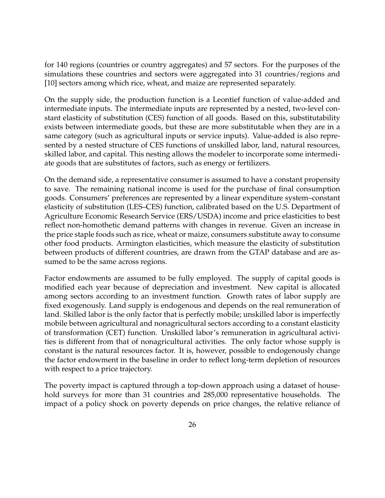for 140 regions (countries or country aggregates) and 57 sectors. For the purposes of the simulations these countries and sectors were aggregated into 31 countries/regions and [10] sectors among which rice, wheat, and maize are represented separately.

On the supply side, the production function is a Leontief function of value-added and intermediate inputs. The intermediate inputs are represented by a nested, two-level constant elasticity of substitution (CES) function of all goods. Based on this, substitutability exists between intermediate goods, but these are more substitutable when they are in a same category (such as agricultural inputs or service inputs). Value-added is also represented by a nested structure of CES functions of unskilled labor, land, natural resources, skilled labor, and capital. This nesting allows the modeler to incorporate some intermediate goods that are substitutes of factors, such as energy or fertilizers.

On the demand side, a representative consumer is assumed to have a constant propensity to save. The remaining national income is used for the purchase of final consumption goods. Consumers' preferences are represented by a linear expenditure system–constant elasticity of substitution (LES–CES) function, calibrated based on the U.S. Department of Agriculture Economic Research Service (ERS/USDA) income and price elasticities to best reflect non-homothetic demand patterns with changes in revenue. Given an increase in the price staple foods such as rice, wheat or maize, consumers substitute away to consume other food products. Armington elasticities, which measure the elasticity of substitution between products of different countries, are drawn from the GTAP database and are assumed to be the same across regions.

Factor endowments are assumed to be fully employed. The supply of capital goods is modified each year because of depreciation and investment. New capital is allocated among sectors according to an investment function. Growth rates of labor supply are fixed exogenously. Land supply is endogenous and depends on the real remuneration of land. Skilled labor is the only factor that is perfectly mobile; unskilled labor is imperfectly mobile between agricultural and nonagricultural sectors according to a constant elasticity of transformation (CET) function. Unskilled labor's remuneration in agricultural activities is different from that of nonagricultural activities. The only factor whose supply is constant is the natural resources factor. It is, however, possible to endogenously change the factor endowment in the baseline in order to reflect long-term depletion of resources with respect to a price trajectory.

The poverty impact is captured through a top-down approach using a dataset of household surveys for more than 31 countries and 285,000 representative households. The impact of a policy shock on poverty depends on price changes, the relative reliance of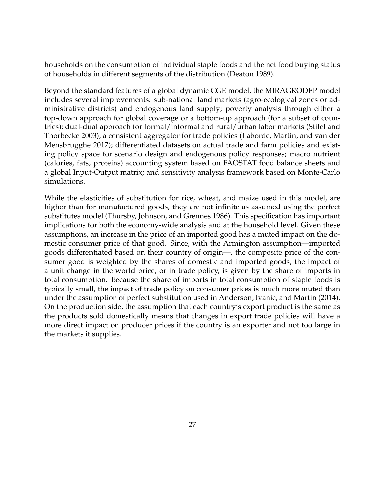households on the consumption of individual staple foods and the net food buying status of households in different segments of the distribution (Deaton 1989).

Beyond the standard features of a global dynamic CGE model, the MIRAGRODEP model includes several improvements: sub-national land markets (agro-ecological zones or administrative districts) and endogenous land supply; poverty analysis through either a top-down approach for global coverage or a bottom-up approach (for a subset of countries); dual-dual approach for formal/informal and rural/urban labor markets (Stifel and Thorbecke 2003); a consistent aggregator for trade policies (Laborde, Martin, and van der Mensbrugghe 2017); differentiated datasets on actual trade and farm policies and existing policy space for scenario design and endogenous policy responses; macro nutrient (calories, fats, proteins) accounting system based on FAOSTAT food balance sheets and a global Input-Output matrix; and sensitivity analysis framework based on Monte-Carlo simulations.

While the elasticities of substitution for rice, wheat, and maize used in this model, are higher than for manufactured goods, they are not infinite as assumed using the perfect substitutes model (Thursby, Johnson, and Grennes 1986). This specification has important implications for both the economy-wide analysis and at the household level. Given these assumptions, an increase in the price of an imported good has a muted impact on the domestic consumer price of that good. Since, with the Armington assumption—imported goods differentiated based on their country of origin—, the composite price of the consumer good is weighted by the shares of domestic and imported goods, the impact of a unit change in the world price, or in trade policy, is given by the share of imports in total consumption. Because the share of imports in total consumption of staple foods is typically small, the impact of trade policy on consumer prices is much more muted than under the assumption of perfect substitution used in Anderson, Ivanic, and Martin (2014). On the production side, the assumption that each country's export product is the same as the products sold domestically means that changes in export trade policies will have a more direct impact on producer prices if the country is an exporter and not too large in the markets it supplies.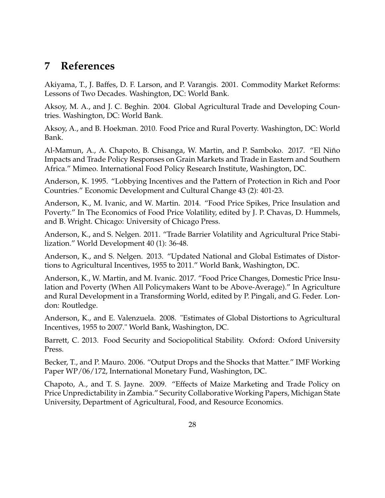# **7 References**

Akiyama, T., J. Baffes, D. F. Larson, and P. Varangis. 2001. Commodity Market Reforms: Lessons of Two Decades. Washington, DC: World Bank.

Aksoy, M. A., and J. C. Beghin. 2004. Global Agricultural Trade and Developing Countries. Washington, DC: World Bank.

Aksoy, A., and B. Hoekman. 2010. Food Price and Rural Poverty. Washington, DC: World Bank.

Al-Mamun, A., A. Chapoto, B. Chisanga, W. Martin, and P. Samboko. 2017. "El Niño Impacts and Trade Policy Responses on Grain Markets and Trade in Eastern and Southern Africa." Mimeo. International Food Policy Research Institute, Washington, DC.

Anderson, K. 1995. "Lobbying Incentives and the Pattern of Protection in Rich and Poor Countries." Economic Development and Cultural Change 43 (2): 401-23.

Anderson, K., M. Ivanic, and W. Martin. 2014. "Food Price Spikes, Price Insulation and Poverty." In The Economics of Food Price Volatility, edited by J. P. Chavas, D. Hummels, and B. Wright. Chicago: University of Chicago Press.

Anderson, K., and S. Nelgen. 2011. "Trade Barrier Volatility and Agricultural Price Stabilization." World Development 40 (1): 36-48.

Anderson, K., and S. Nelgen. 2013. "Updated National and Global Estimates of Distortions to Agricultural Incentives, 1955 to 2011." World Bank, Washington, DC.

Anderson, K., W. Martin, and M. Ivanic. 2017. "Food Price Changes, Domestic Price Insulation and Poverty (When All Policymakers Want to be Above-Average)." In Agriculture and Rural Development in a Transforming World, edited by P. Pingali, and G. Feder. London: Routledge.

Anderson, K., and E. Valenzuela. 2008. "Estimates of Global Distortions to Agricultural Incentives, 1955 to 2007." World Bank, Washington, DC.

Barrett, C. 2013. Food Security and Sociopolitical Stability. Oxford: Oxford University Press.

Becker, T., and P. Mauro. 2006. "Output Drops and the Shocks that Matter." IMF Working Paper WP/06/172, International Monetary Fund, Washington, DC.

Chapoto, A., and T. S. Jayne. 2009. "Effects of Maize Marketing and Trade Policy on Price Unpredictability in Zambia." Security Collaborative Working Papers, Michigan State University, Department of Agricultural, Food, and Resource Economics.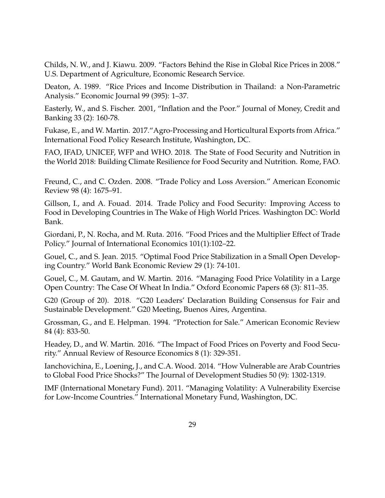Childs, N. W., and J. Kiawu. 2009. "Factors Behind the Rise in Global Rice Prices in 2008." U.S. Department of Agriculture, Economic Research Service.

Deaton, A. 1989. "Rice Prices and Income Distribution in Thailand: a Non-Parametric Analysis." Economic Journal 99 (395): 1–37.

Easterly, W., and S. Fischer. 2001, "Inflation and the Poor." Journal of Money, Credit and Banking 33 (2): 160-78.

Fukase, E., and W. Martin. 2017."Agro-Processing and Horticultural Exports from Africa." International Food Policy Research Institute, Washington, DC.

FAO, IFAD, UNICEF, WFP and WHO. 2018. The State of Food Security and Nutrition in the World 2018: Building Climate Resilience for Food Security and Nutrition. Rome, FAO.

Freund, C., and C. Ozden. 2008. "Trade Policy and Loss Aversion." American Economic Review 98 (4): 1675–91.

Gillson, I., and A. Fouad. 2014. Trade Policy and Food Security: Improving Access to Food in Developing Countries in The Wake of High World Prices. Washington DC: World Bank.

Giordani, P., N. Rocha, and M. Ruta. 2016. "Food Prices and the Multiplier Effect of Trade Policy." Journal of International Economics 101(1):102–22.

Gouel, C., and S. Jean. 2015. "Optimal Food Price Stabilization in a Small Open Developing Country." World Bank Economic Review 29 (1): 74-101.

Gouel, C., M. Gautam, and W. Martin. 2016. "Managing Food Price Volatility in a Large Open Country: The Case Of Wheat In India." Oxford Economic Papers 68 (3): 811–35.

G20 (Group of 20). 2018. "G20 Leaders' Declaration Building Consensus for Fair and Sustainable Development." G20 Meeting, Buenos Aires, Argentina.

Grossman, G., and E. Helpman. 1994. "Protection for Sale." American Economic Review 84 (4): 833-50.

Headey, D., and W. Martin. 2016. "The Impact of Food Prices on Poverty and Food Security." Annual Review of Resource Economics 8 (1): 329-351.

Ianchovichina, E., Loening, J., and C.A. Wood. 2014. "How Vulnerable are Arab Countries to Global Food Price Shocks?" The Journal of Development Studies 50 (9): 1302-1319.

IMF (International Monetary Fund). 2011. "Managing Volatility: A Vulnerability Exercise for Low-Income Countries." International Monetary Fund, Washington, DC.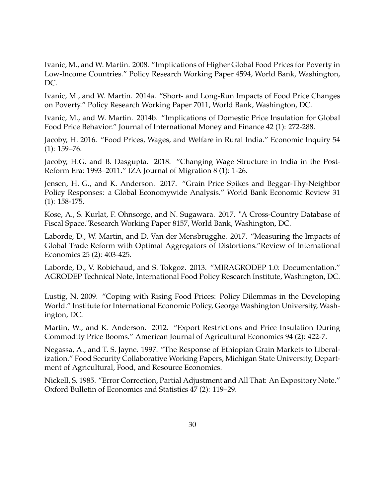Ivanic, M., and W. Martin. 2008. "Implications of Higher Global Food Prices for Poverty in Low-Income Countries." Policy Research Working Paper 4594, World Bank, Washington, DC.

Ivanic, M., and W. Martin. 2014a. "Short- and Long-Run Impacts of Food Price Changes on Poverty." Policy Research Working Paper 7011, World Bank, Washington, DC.

Ivanic, M., and W. Martin. 2014b. "Implications of Domestic Price Insulation for Global Food Price Behavior." Journal of International Money and Finance 42 (1): 272-288.

Jacoby, H. 2016. "Food Prices, Wages, and Welfare in Rural India." Economic Inquiry 54  $(1): 159 - 76.$ 

Jacoby, H.G. and B. Dasgupta. 2018. "Changing Wage Structure in India in the Post-Reform Era: 1993–2011." IZA Journal of Migration 8 (1): 1-26.

Jensen, H. G., and K. Anderson. 2017. "Grain Price Spikes and Beggar-Thy-Neighbor Policy Responses: a Global Economywide Analysis." World Bank Economic Review 31 (1): 158-175.

Kose, A., S. Kurlat, F. Ohnsorge, and N. Sugawara. 2017. "A Cross-Country Database of Fiscal Space."Research Working Paper 8157, World Bank, Washington, DC.

Laborde, D., W. Martin, and D. Van der Mensbrugghe. 2017. "Measuring the Impacts of Global Trade Reform with Optimal Aggregators of Distortions."Review of International Economics 25 (2): 403-425.

Laborde, D., V. Robichaud, and S. Tokgoz. 2013. "MIRAGRODEP 1.0: Documentation." AGRODEP Technical Note, International Food Policy Research Institute, Washington, DC.

Lustig, N. 2009. "Coping with Rising Food Prices: Policy Dilemmas in the Developing World." Institute for International Economic Policy, George Washington University, Washington, DC.

Martin, W., and K. Anderson. 2012. "Export Restrictions and Price Insulation During Commodity Price Booms." American Journal of Agricultural Economics 94 (2): 422-7.

Negassa, A., and T. S. Jayne. 1997. "The Response of Ethiopian Grain Markets to Liberalization." Food Security Collaborative Working Papers, Michigan State University, Department of Agricultural, Food, and Resource Economics.

Nickell, S. 1985. "Error Correction, Partial Adjustment and All That: An Expository Note." Oxford Bulletin of Economics and Statistics 47 (2): 119–29.